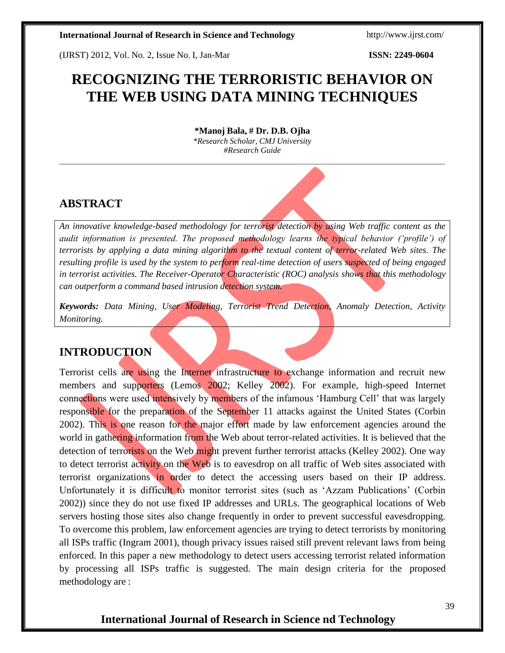(IJRST) 2012, Vol. No. 2, Issue No. I, Jan-Mar **ISSN: 2249-0604**

# **RECOGNIZING THE TERRORISTIC BEHAVIOR ON THE WEB USING DATA MINING TECHNIQUES**

**\*Manoj Bala, # Dr. D.B. Ojha** *\*Research Scholar, CMJ University #Research Guide*

# **ABSTRACT**

*An innovative knowledge-based methodology for terrorist detection by using Web traffic content as the audit information is presented. The proposed methodology learns the typical behavior ('profile') of terrorists by applying a data mining algorithm to the textual content of terror-related Web sites. The resulting profile is used by the system to perform real-time detection of users suspected of being engaged in terrorist activities. The Receiver-Operator Characteristic (ROC) analysis shows that this methodology can outperform a command based intrusion detection system.*

*Keywords: Data Mining, User Modeling, Terrorist Trend Detection, Anomaly Detection, Activity Monitoring.*

# **INTRODUCTION**

Terrorist cells are using the Internet infrastructure to exchange information and recruit new members and supporters (Lemos 2002; Kelley 2002). For example, high-speed Internet connections were used intensively by members of the infamous 'Hamburg Cell' that was largely responsible for the preparation of the September 11 attacks against the United States (Corbin 2002). This is one reason for the major effort made by law enforcement agencies around the world in gathering information from the Web about terror-related activities. It is believed that the detection of terrorists on the Web might prevent further terrorist attacks (Kelley 2002). One way to detect terrorist activity on the Web is to eavesdrop on all traffic of Web sites associated with terrorist organizations in order to detect the accessing users based on their IP address. Unfortunately it is difficult to monitor terrorist sites (such as 'Azzam Publications' (Corbin 2002)) since they do not use fixed IP addresses and URLs. The geographical locations of Web servers hosting those sites also change frequently in order to prevent successful eavesdropping. To overcome this problem, law enforcement agencies are trying to detect terrorists by monitoring all ISPs traffic (Ingram 2001), though privacy issues raised still prevent relevant laws from being enforced. In this paper a new methodology to detect users accessing terrorist related information by processing all ISPs traffic is suggested. The main design criteria for the proposed methodology are :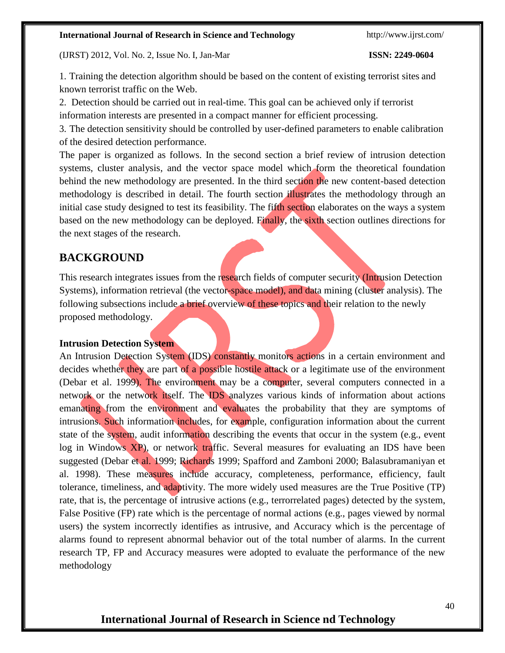(IJRST) 2012, Vol. No. 2, Issue No. I, Jan-Mar **ISSN: 2249-0604**

1. Training the detection algorithm should be based on the content of existing terrorist sites and known terrorist traffic on the Web.

2. Detection should be carried out in real-time. This goal can be achieved only if terrorist information interests are presented in a compact manner for efficient processing.

3. The detection sensitivity should be controlled by user-defined parameters to enable calibration of the desired detection performance.

The paper is organized as follows. In the second section a brief review of intrusion detection systems, cluster analysis, and the vector space model which form the theoretical foundation behind the new methodology are presented. In the third section the new content-based detection methodology is described in detail. The fourth section *illustrates* the methodology through an initial case study designed to test its feasibility. The fifth section elaborates on the ways a system based on the new methodology can be deployed. Finally, the sixth section outlines directions for the next stages of the research.

# **BACKGROUND**

This research integrates issues from the research fields of computer security (Intrusion Detection Systems), information retrieval (the vector-space model), and data mining (cluster analysis). The following subsections include a brief overview of these topics and their relation to the newly proposed methodology.

# **Intrusion Detection System**

An Intrusion Detection System (IDS) constantly monitors actions in a certain environment and decides whether they are part of a possible hostile attack or a legitimate use of the environment (Debar et al. 1999). The environment may be a computer, several computers connected in a network or the network itself. The **IDS** analyzes various kinds of information about actions emanating from the environment and evaluates the probability that they are symptoms of intrusions. Such information includes, for example, configuration information about the current state of the system, audit information describing the events that occur in the system (e.g., event log in Windows XP), or network traffic. Several measures for evaluating an IDS have been suggested (Debar et al. 1999; Richards 1999; Spafford and Zamboni 2000; Balasubramaniyan et al. 1998). These measures include accuracy, completeness, performance, efficiency, fault tolerance, timeliness, and adaptivity. The more widely used measures are the True Positive (TP) rate, that is, the percentage of intrusive actions (e.g., terrorrelated pages) detected by the system, False Positive (FP) rate which is the percentage of normal actions (e.g., pages viewed by normal users) the system incorrectly identifies as intrusive, and Accuracy which is the percentage of alarms found to represent abnormal behavior out of the total number of alarms. In the current research TP, FP and Accuracy measures were adopted to evaluate the performance of the new methodology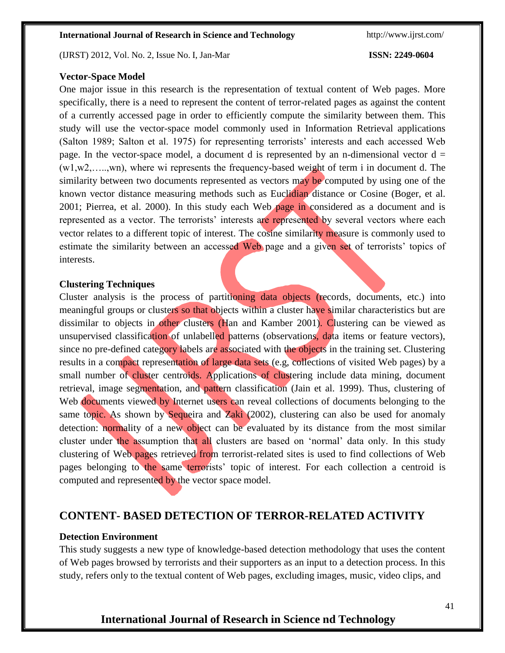(IJRST) 2012, Vol. No. 2, Issue No. I, Jan-Mar **ISSN: 2249-0604**

### **Vector-Space Model**

One major issue in this research is the representation of textual content of Web pages. More specifically, there is a need to represent the content of terror-related pages as against the content of a currently accessed page in order to efficiently compute the similarity between them. This study will use the vector-space model commonly used in Information Retrieval applications (Salton 1989; Salton et al. 1975) for representing terrorists' interests and each accessed Web page. In the vector-space model, a document d is represented by an n-dimensional vector  $d =$ (w1,w2,…..,wn), where wi represents the frequency-based weight of term i in document d. The similarity between two documents represented as vectors may be computed by using one of the known vector distance measuring methods such as Euclidian distance or Cosine (Boger, et al. 2001; Pierrea, et al. 2000). In this study each Web page in considered as a document and is represented as a vector. The terrorists' interests are represented by several vectors where each vector relates to a different topic of interest. The cosine similarity measure is commonly used to estimate the similarity between an accessed Web page and a given set of terrorists' topics of interests.

## **Clustering Techniques**

Cluster analysis is the process of partitioning data objects (records, documents, etc.) into meaningful groups or clusters so that objects within a cluster have similar characteristics but are dissimilar to objects in other clusters (Han and Kamber 2001). Clustering can be viewed as unsupervised classification of unlabelled patterns (observations, data items or feature vectors), since no pre-defined category labels are associated with the objects in the training set. Clustering results in a compact representation of large data sets (e.g, collections of visited Web pages) by a small number of cluster centroids. Applications of clustering include data mining, document retrieval, image segmentation, and pattern classification (Jain et al. 1999). Thus, clustering of Web documents viewed by Internet users can reveal collections of documents belonging to the same topic. As shown by Sequeira and Zaki (2002), clustering can also be used for anomaly detection: normality of a new object can be evaluated by its distance from the most similar cluster under the assumption that all clusters are based on 'normal' data only. In this study clustering of Web pages retrieved from terrorist-related sites is used to find collections of Web pages belonging to the same terrorists' topic of interest. For each collection a centroid is computed and represented by the vector space model.

# **CONTENT- BASED DETECTION OF TERROR-RELATED ACTIVITY**

## **Detection Environment**

This study suggests a new type of knowledge-based detection methodology that uses the content of Web pages browsed by terrorists and their supporters as an input to a detection process. In this study, refers only to the textual content of Web pages, excluding images, music, video clips, and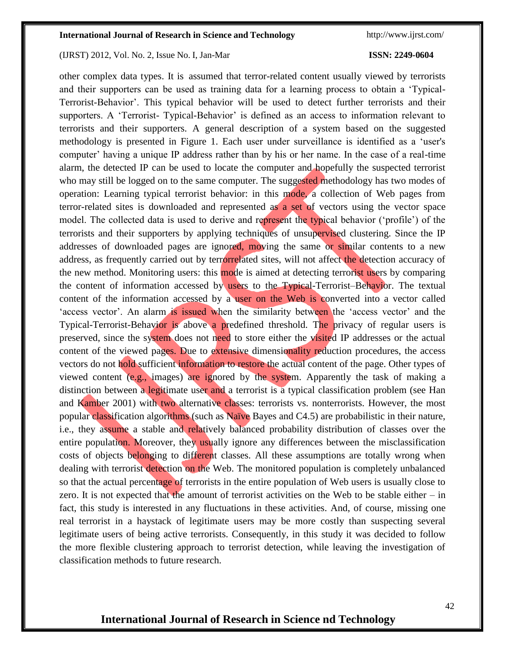### (IJRST) 2012, Vol. No. 2, Issue No. I, Jan-Mar **ISSN: 2249-0604**

and their supporters can be used as training data for a learning process to obtain a 'Typical-Terrorist-Behavior'. This typical behavior will be used to detect further terrorists and their supporters. A 'Terrorist- Typical-Behavior' is defined as an access to information relevant to terrorists and their supporters. A general description of a system based on the suggested methodology is presented in Figure 1. Each user under surveillance is identified as a 'user's computer' having a unique IP address rather than by his or her name. In the case of a real-time alarm, the detected IP can be used to locate the computer and hopefully the suspected terrorist who may still be logged on to the same computer. The suggested methodology has two modes of operation: Learning typical terrorist behavior: in this mode, a collection of Web pages from terror-related sites is downloaded and represented as a set of vectors using the vector space model. The collected data is used to derive and represent the typical behavior ('profile') of the terrorists and their supporters by applying techniques of unsupervised clustering. Since the IP addresses of downloaded pages are ignored, moving the same or similar contents to a new address, as frequently carried out by terrorrelated sites, will not affect the detection accuracy of the new method. Monitoring users: this mode is aimed at detecting terrorist users by comparing the content of information accessed by users to the Typical-Terrorist–Behavior. The textual content of the information accessed by a user on the Web is converted into a vector called 'access vector'. An alarm is issued when the similarity between the 'access vector' and the Typical-Terrorist-Behavior is above a predefined threshold. The privacy of regular users is preserved, since the system does not need to store either the visited IP addresses or the actual content of the viewed pages. Due to extensive dimensionality reduction procedures, the access vectors do not hold sufficient information to restore the actual content of the page. Other types of viewed content (e.g., images) are ignored by the system. Apparently the task of making a distinction between a legitimate user and a terrorist is a typical classification problem (see Han and Kamber 2001) with two alternative classes: terrorists vs. nonterrorists. However, the most popular classification algorithms (such as Naïve Bayes and C4.5) are probabilistic in their nature, i.e., they assume a stable and relatively balanced probability distribution of classes over the entire population. Moreover, they usually ignore any differences between the misclassification costs of objects belonging to different classes. All these assumptions are totally wrong when dealing with terrorist detection on the Web. The monitored population is completely unbalanced so that the actual percentage of terrorists in the entire population of Web users is usually close to zero. It is not expected that the amount of terrorist activities on the Web to be stable either – in fact, this study is interested in any fluctuations in these activities. And, of course, missing one real terrorist in a haystack of legitimate users may be more costly than suspecting several legitimate users of being active terrorists. Consequently, in this study it was decided to follow the more flexible clustering approach to terrorist detection, while leaving the investigation of classification methods to future research.

other complex data types. It is assumed that terror-related content usually viewed by terrorists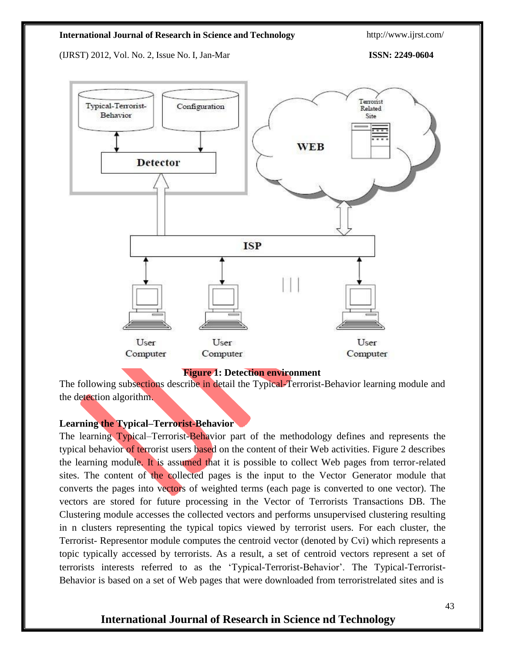(IJRST) 2012, Vol. No. 2, Issue No. I, Jan-Mar **ISSN: 2249-0604**



## **Figure 1: Detection environment**

The following subsections describe in detail the Typical-Terrorist-Behavior learning module and the detection algorithm.

# **Learning the Typical–Terrorist-Behavior**

The learning Typical–Terrorist-Behavior part of the methodology defines and represents the typical behavior of terrorist users based on the content of their Web activities. Figure 2 describes the learning module. It is assumed that it is possible to collect Web pages from terror-related sites. The content of the collected pages is the input to the Vector Generator module that converts the pages into vectors of weighted terms (each page is converted to one vector). The vectors are stored for future processing in the Vector of Terrorists Transactions DB. The Clustering module accesses the collected vectors and performs unsupervised clustering resulting in n clusters representing the typical topics viewed by terrorist users. For each cluster, the Terrorist- Representor module computes the centroid vector (denoted by Cvi) which represents a topic typically accessed by terrorists. As a result, a set of centroid vectors represent a set of terrorists interests referred to as the 'Typical-Terrorist-Behavior'. The Typical-Terrorist-Behavior is based on a set of Web pages that were downloaded from terroristrelated sites and is

# **International Journal of Research in Science nd Technology**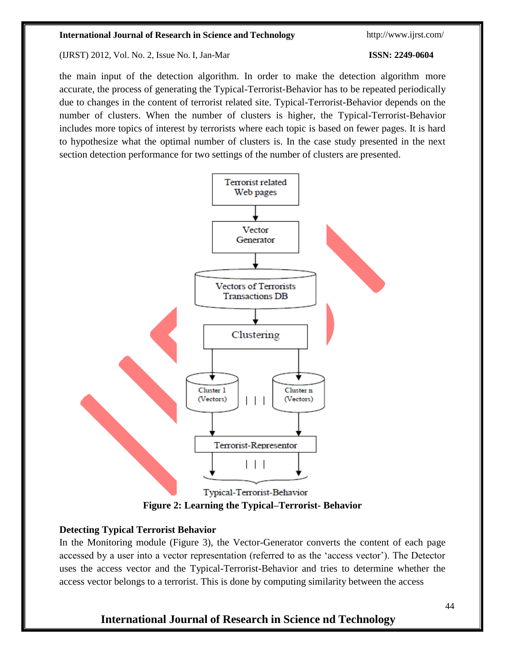(IJRST) 2012, Vol. No. 2, Issue No. I, Jan-Mar **ISSN: 2249-0604**

**International Journal of Research in Science nd Technology**

the main input of the detection algorithm. In order to make the detection algorithm more accurate, the process of generating the Typical-Terrorist-Behavior has to be repeated periodically due to changes in the content of terrorist related site. Typical-Terrorist-Behavior depends on the number of clusters. When the number of clusters is higher, the Typical-Terrorist-Behavior includes more topics of interest by terrorists where each topic is based on fewer pages. It is hard to hypothesize what the optimal number of clusters is. In the case study presented in the next section detection performance for two settings of the number of clusters are presented.



# **Detecting Typical Terrorist Behavior**

In the Monitoring module (Figure 3), the Vector-Generator converts the content of each page accessed by a user into a vector representation (referred to as the 'access vector'). The Detector uses the access vector and the Typical-Terrorist-Behavior and tries to determine whether the access vector belongs to a terrorist. This is done by computing similarity between the access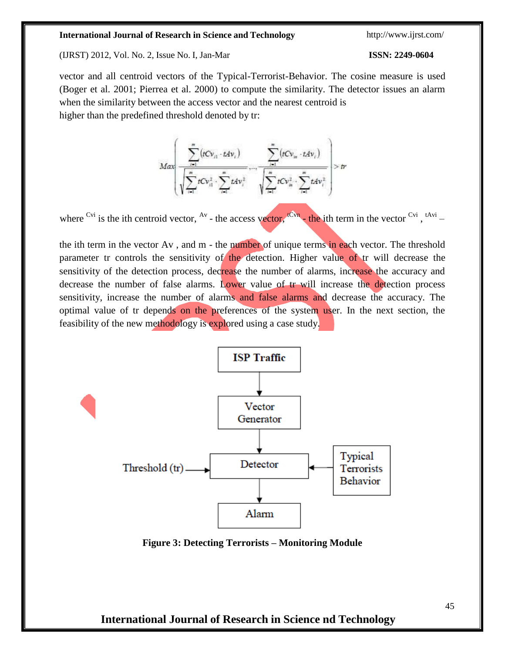(IJRST) 2012, Vol. No. 2, Issue No. I, Jan-Mar **ISSN: 2249-0604**

vector and all centroid vectors of the Typical-Terrorist-Behavior. The cosine measure is used (Boger et al. 2001; Pierrea et al. 2000) to compute the similarity. The detector issues an alarm when the similarity between the access vector and the nearest centroid is higher than the predefined threshold denoted by tr:

$$
Max \left( \frac{\sum_{i=1}^{m} (tCv_{i1} \cdot tA v_i)}{\sqrt{\sum_{i=1}^{n} tCv_{i1}^2 \cdot \sum_{i=1}^{n} tA v_i^2}}, \dots, \frac{\sum_{j=1}^{m} (tCv_{in} \cdot tA v_i)}{\sqrt{\sum_{i=1}^{n} tCv_{in}^2 \cdot \sum_{i=1}^{n} tA v_i^2}} \right) > tr
$$

where <sup>Cvi</sup> is the ith centroid vector, <sup>Av</sup> - the access vector, <sup>tCvn</sup> - the ith term in the vector <sup>Cvi</sup>, <sup>tAvi</sup> –

the ith term in the vector Av , and m - the number of unique terms in each vector. The threshold parameter tr controls the sensitivity of the detection. Higher value of tr will decrease the sensitivity of the detection process, decrease the number of alarms, increase the accuracy and decrease the number of false alarms. Lower value of tr will increase the detection process sensitivity, increase the number of alarms and false alarms and decrease the accuracy. The optimal value of tr depends on the preferences of the system user. In the next section, the feasibility of the new methodology is explored using a case study.



**Figure 3: Detecting Terrorists – Monitoring Module**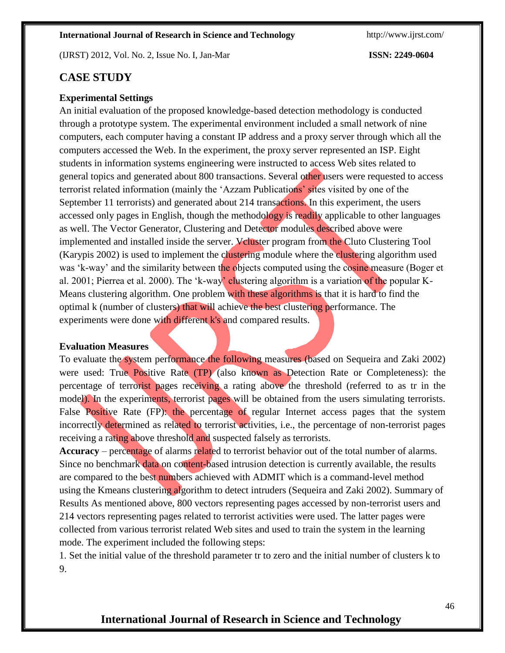(IJRST) 2012, Vol. No. 2, Issue No. I, Jan-Mar **ISSN: 2249-0604**

# **CASE STUDY**

## **Experimental Settings**

An initial evaluation of the proposed knowledge-based detection methodology is conducted through a prototype system. The experimental environment included a small network of nine computers, each computer having a constant IP address and a proxy server through which all the computers accessed the Web. In the experiment, the proxy server represented an ISP. Eight students in information systems engineering were instructed to access Web sites related to general topics and generated about 800 transactions. Several other users were requested to access terrorist related information (mainly the 'Azzam Publications' sites visited by one of the September 11 terrorists) and generated about 214 transactions. In this experiment, the users accessed only pages in English, though the methodology is readily applicable to other languages as well. The Vector Generator, Clustering and Detector modules described above were implemented and installed inside the server. Vcluster program from the Cluto Clustering Tool (Karypis 2002) is used to implement the clustering module where the clustering algorithm used was 'k-way' and the similarity between the objects computed using the cosine measure (Boger et al. 2001; Pierrea et al. 2000). The 'k-way' clustering algorithm is a variation of the popular K-Means clustering algorithm. One problem with these algorithms is that it is hard to find the optimal k (number of clusters) that will achieve the best clustering performance. The experiments were done with different  $k's$  and compared results.

## **Evaluation Measures**

To evaluate the system performance the following measures (based on Sequeira and Zaki 2002) were used: True Positive Rate (TP) (also known as Detection Rate or Completeness): the percentage of terrorist pages receiving a rating above the threshold (referred to as tr in the model). In the experiments, terrorist pages will be obtained from the users simulating terrorists. False Positive Rate (FP): the percentage of regular Internet access pages that the system incorrectly determined as related to terrorist activities, i.e., the percentage of non-terrorist pages receiving a rating above threshold and suspected falsely as terrorists.

**Accuracy** – percentage of alarms related to terrorist behavior out of the total number of alarms. Since no benchmark data on content-based intrusion detection is currently available, the results are compared to the best numbers achieved with ADMIT which is a command-level method using the Kmeans clustering algorithm to detect intruders (Sequeira and Zaki 2002). Summary of Results As mentioned above, 800 vectors representing pages accessed by non-terrorist users and 214 vectors representing pages related to terrorist activities were used. The latter pages were collected from various terrorist related Web sites and used to train the system in the learning mode. The experiment included the following steps:

1. Set the initial value of the threshold parameter tr to zero and the initial number of clusters k to 9.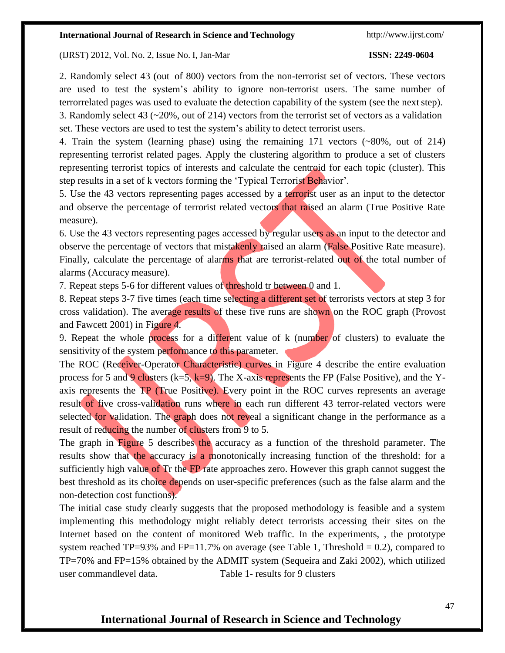(IJRST) 2012, Vol. No. 2, Issue No. I, Jan-Mar **ISSN: 2249-0604**

2. Randomly select 43 (out of 800) vectors from the non-terrorist set of vectors. These vectors are used to test the system's ability to ignore non-terrorist users. The same number of terrorrelated pages was used to evaluate the detection capability of the system (see the nextstep). 3. Randomly select 43 (~20%, out of 214) vectors from the terrorist set of vectors as a validation set. These vectors are used to test the system's ability to detect terrorist users.

4. Train the system (learning phase) using the remaining 171 vectors (~80%, out of 214) representing terrorist related pages. Apply the clustering algorithm to produce a set of clusters representing terrorist topics of interests and calculate the centroid for each topic (cluster). This step results in a set of k vectors forming the 'Typical Terrorist Behavior'.

5. Use the 43 vectors representing pages accessed by a terrorist user as an input to the detector and observe the percentage of terrorist related vectors that raised an alarm (True Positive Rate measure).

6. Use the 43 vectors representing pages accessed by regular users as an input to the detector and observe the percentage of vectors that mistakenly raised an alarm (False Positive Rate measure). Finally, calculate the percentage of alarms that are terrorist-related out of the total number of alarms (Accuracy measure).

7. Repeat steps 5-6 for different values of threshold tr between 0 and 1.

8. Repeat steps 3-7 five times (each time selecting a different set of terrorists vectors at step 3 for cross validation). The average results of these five runs are shown on the ROC graph (Provost and Fawcett 2001) in Figure 4.

9. Repeat the whole process for a different value of k (number of clusters) to evaluate the sensitivity of the system performance to this parameter.

The ROC (Receiver-Operator Characteristic) curves in Figure 4 describe the entire evaluation process for 5 and 9 clusters  $(k=5, k=9)$ . The X-axis represents the FP (False Positive), and the Yaxis represents the TP (True Positive). Every point in the ROC curves represents an average result of five cross-validation runs where in each run different 43 terror-related vectors were selected for validation. The graph does not reveal a significant change in the performance as a result of reducing the number of clusters from 9 to 5.

The graph in Figure 5 describes the accuracy as a function of the threshold parameter. The results show that the accuracy is a monotonically increasing function of the threshold: for a sufficiently high value of Tr the FP rate approaches zero. However this graph cannot suggest the best threshold as its choice depends on user-specific preferences (such as the false alarm and the non-detection cost functions).

The initial case study clearly suggests that the proposed methodology is feasible and a system implementing this methodology might reliably detect terrorists accessing their sites on the Internet based on the content of monitored Web traffic. In the experiments, , the prototype system reached TP=93% and FP=11.7% on average (see Table 1, Threshold = 0.2), compared to TP=70% and FP=15% obtained by the ADMIT system (Sequeira and Zaki 2002), which utilized user commandlevel data. Table 1- results for 9 clusters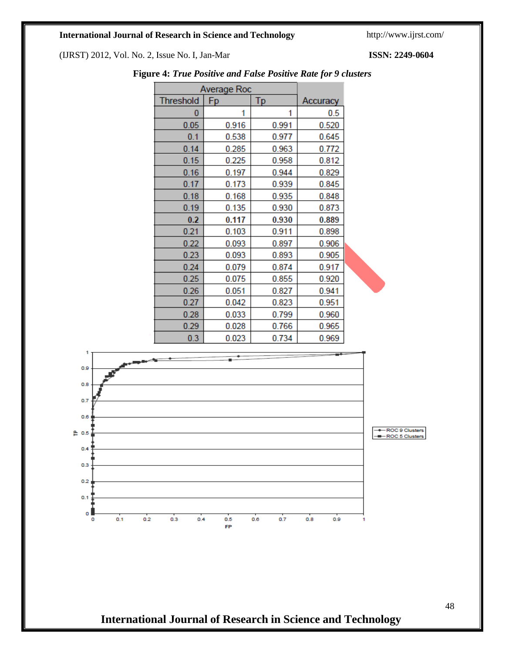(IJRST) 2012, Vol. No. 2, Issue No. I, Jan-Mar **ISSN: 2249-0604**

|          | Average Roc |           |                  |
|----------|-------------|-----------|------------------|
| Accuracy | <b>Tp</b>   | <b>Fp</b> | <b>Threshold</b> |
| 0.5      | 1           | 1         | 0                |
| 0.520    | 0.991       | 0.916     | 0.05             |
| 0.645    | 0.977       | 0.538     | 0.1              |
| 0.772    | 0.963       | 0.285     | 0.14             |
| 0.812    | 0.958       | 0.225     | 0.15             |
| 0.829    | 0.944       | 0.197     | 0.16             |
| 0.845    | 0.939       | 0.173     | 0.17             |
| 0.848    | 0.935       | 0.168     | 0.18             |
| 0.873    | 0.930       | 0.135     | 0.19             |
| 0.889    | 0.930       | 0.117     | 0.2              |
| 0.898    | 0.911       | 0.103     | 0.21             |
| 0.906    | 0.897       | 0.093     | 0.22             |
| 0.905    | 0.893       | 0.093     | 0.23             |
| 0.917    | 0.874       | 0.079     | 0.24             |
| 0.920    | 0.855       | 0.075     | 0.25             |
| 0.941    | 0.827       | 0.051     | 0.26             |
| 0.951    | 0.823       | 0.042     | 0.27             |
| 0.960    | 0.799       | 0.033     | 0.28             |
| 0.965    | 0.766       | 0.028     | 0.29             |
| 0.969    | 0.734       | ก กวร     | n 3              |

# **Figure 4:** *True Positive and False Positive Rate for 9 clusters*



**International Journal of Research in Science and Technology**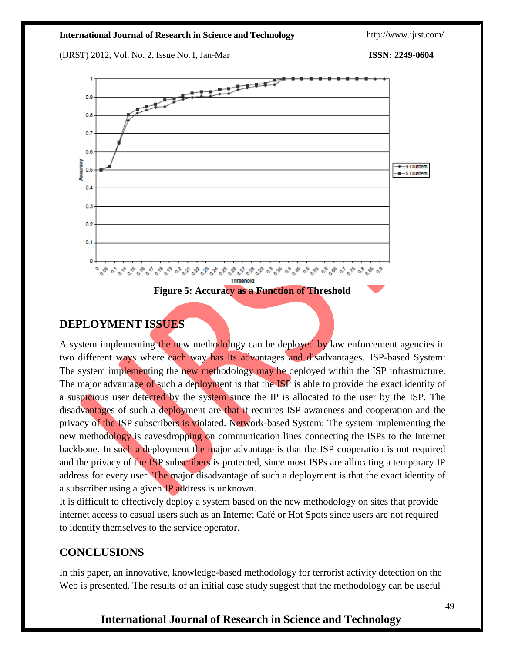(IJRST) 2012, Vol. No. 2, Issue No. I, Jan-Mar **ISSN: 2249-0604**



**Figure 5: Accuracy as a Function of Threshold**

# **DEPLOYMENT ISSUES**

A system implementing the new methodology can be deployed by law enforcement agencies in two different ways where each way has its advantages and disadvantages. ISP-based System: The system implementing the new methodology may be deployed within the ISP infrastructure. The major advantage of such a deployment is that the **ISP** is able to provide the exact identity of a suspicious user detected by the system since the IP is allocated to the user by the ISP. The disadvantages of such a deployment are that it requires ISP awareness and cooperation and the privacy of the ISP subscribers is violated. Network-based System: The system implementing the new methodology is eavesdropping on communication lines connecting the ISPs to the Internet backbone. In such a deployment the major advantage is that the ISP cooperation is not required and the privacy of the ISP subscribers is protected, since most ISPs are allocating a temporary IP address for every user. The major disadvantage of such a deployment is that the exact identity of a subscriber using a given IP address is unknown.

It is difficult to effectively deploy a system based on the new methodology on sites that provide internet access to casual users such as an Internet Café or Hot Spots since users are not required to identify themselves to the service operator.

# **CONCLUSIONS**

In this paper, an innovative, knowledge-based methodology for terrorist activity detection on the Web is presented. The results of an initial case study suggest that the methodology can be useful

# **International Journal of Research in Science and Technology**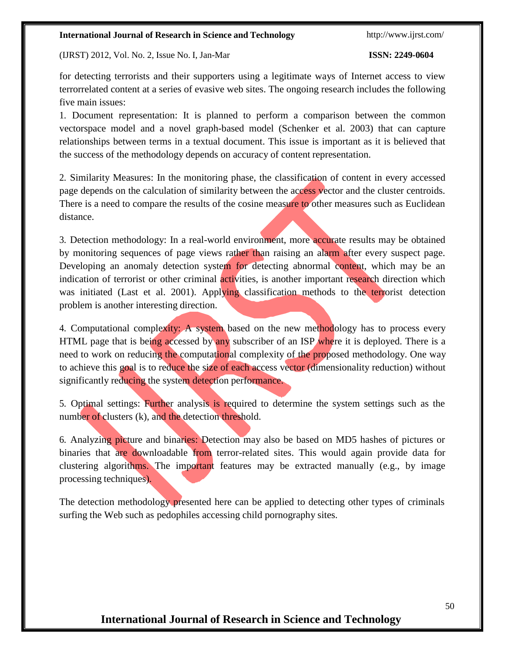(IJRST) 2012, Vol. No. 2, Issue No. I, Jan-Mar **ISSN: 2249-0604**

for detecting terrorists and their supporters using a legitimate ways of Internet access to view terrorrelated content at a series of evasive web sites. The ongoing research includes the following five main issues:

1. Document representation: It is planned to perform a comparison between the common vectorspace model and a novel graph-based model (Schenker et al. 2003) that can capture relationships between terms in a textual document. This issue is important as it is believed that the success of the methodology depends on accuracy of content representation.

2. Similarity Measures: In the monitoring phase, the classification of content in every accessed page depends on the calculation of similarity between the access vector and the cluster centroids. There is a need to compare the results of the cosine measure to other measures such as Euclidean distance.

3. Detection methodology: In a real-world environment, more accurate results may be obtained by monitoring sequences of page views rather than raising an alarm after every suspect page. Developing an anomaly detection system for detecting abnormal content, which may be an indication of terrorist or other criminal activities, is another important research direction which was initiated (Last et al. 2001). Applying classification methods to the terrorist detection problem is another interesting direction.

4. Computational complexity: A system based on the new methodology has to process every HTML page that is being accessed by any subscriber of an ISP where it is deployed. There is a need to work on reducing the computational complexity of the proposed methodology. One way to achieve this goal is to reduce the size of each access vector (dimensionality reduction) without significantly reducing the system detection performance.

5. Optimal settings: Further analysis is required to determine the system settings such as the number of clusters (k), and the detection threshold.

6. Analyzing picture and binaries: Detection may also be based on MD5 hashes of pictures or binaries that are downloadable from terror-related sites. This would again provide data for clustering algorithms. The important features may be extracted manually (e.g., by image processing techniques).

The detection methodology presented here can be applied to detecting other types of criminals surfing the Web such as pedophiles accessing child pornography sites.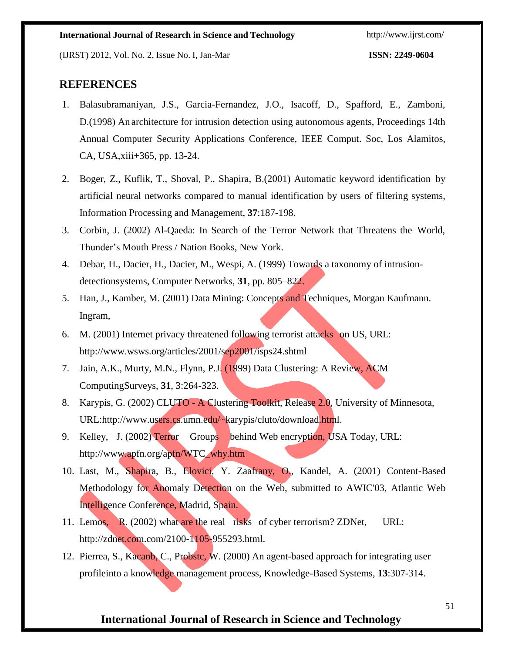(IJRST) 2012, Vol. No. 2, Issue No. I, Jan-Mar **ISSN: 2249-0604**

## **REFERENCES**

- 1. Balasubramaniyan, J.S., Garcia-Fernandez, J.O., Isacoff, D., Spafford, E., Zamboni, D.(1998) An architecture for intrusion detection using autonomous agents, Proceedings 14th Annual Computer Security Applications Conference, IEEE Comput. Soc, Los Alamitos, CA, USA,xiii+365, pp. 13-24.
- 2. Boger, Z., Kuflik, T., Shoval, P., Shapira, B.(2001) Automatic keyword identification by artificial neural networks compared to manual identification by users of filtering systems, Information Processing and Management, **37**:187-198.
- 3. Corbin, J. (2002) Al-Qaeda: In Search of the Terror Network that Threatens the World, Thunder's Mouth Press / Nation Books, New York.
- 4. Debar, H., Dacier, H., Dacier, M., Wespi, A. (1999) Towards a taxonomy of intrusiondetectionsystems, Computer Networks, **31**, pp. 805–822.
- 5. Han, J., Kamber, M. (2001) Data Mining: Concepts and Techniques, Morgan Kaufmann. Ingram,
- 6. M. (2001) Internet privacy threatened following terrorist attacks on US, URL: <http://www.wsws.org/articles/2001/sep2001/isps24.shtml>
- 7. Jain, A.K., Murty, M.N., Flynn, P.J. (1999) Data Clustering: A Review, ACM ComputingSurveys, **31**, 3:264-323.
- 8. Karypis, G. (2002) CLUTO A Clustering Toolkit, Release 2.0, University of Minnesota, URL[:http://www.users.cs.umn.edu/~karypis/cluto/download.html.](http://www.users.cs.umn.edu/~karypis/cluto/download.html)
- 9. Kelley, J. (2002) Terror Groups behind Web encryption, USA Today, URL: [http://www.apfn.org/apfn/WTC\\_why.htm](http://www.apfn.org/apfn/WTC_why.htm)
- 10. Last, M., Shapira, B., Elovici, Y. Zaafrany, O., Kandel, A. (2001) Content-Based Methodology for Anomaly Detection on the Web, submitted to AWIC'03, Atlantic Web Intelligence Conference, Madrid, Spain.
- 11. Lemos, R. (2002) what are the real risks of cyber terrorism? ZDNet, URL: [http://zdnet.com.com/2100-1105-955293.html.](http://zdnet.com.com/2100-1105-955293.html)
- 12. Pierrea, S., Kacanb, C., Probstc, W. (2000) An agent-based approach for integrating user profileinto a knowledge management process, Knowledge-Based Systems, **13**:307-314.

# **International Journal of Research in Science and Technology**